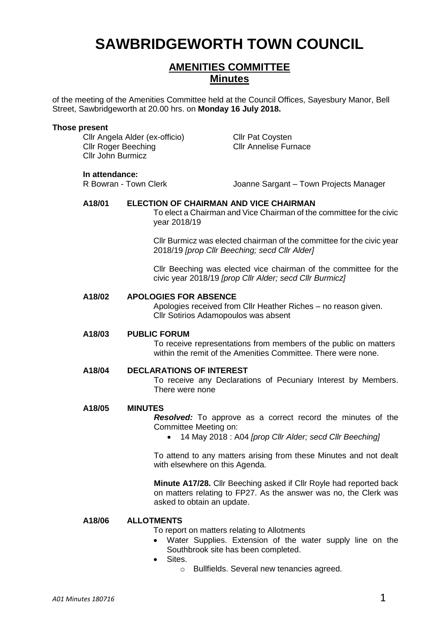# **SAWBRIDGEWORTH TOWN COUNCIL**

## **AMENITIES COMMITTEE Minutes**

of the meeting of the Amenities Committee held at the Council Offices, Sayesbury Manor, Bell Street, Sawbridgeworth at 20.00 hrs. on **Monday 16 July 2018.**

#### **Those present**

Cllr Angela Alder (ex-officio) Cllr Pat Coysten **Cllr Roger Beeching Cllr Annelise Furnace** Cllr John Burmicz

**In attendance:**<br>R Bowran - Town Clerk

Joanne Sargant – Town Projects Manager

#### **A18/01 ELECTION OF CHAIRMAN AND VICE CHAIRMAN**

To elect a Chairman and Vice Chairman of the committee for the civic year 2018/19

Cllr Burmicz was elected chairman of the committee for the civic year 2018/19 *[prop Cllr Beeching; secd Cllr Alder]*

Cllr Beeching was elected vice chairman of the committee for the civic year 2018/19 *[prop Cllr Alder; secd Cllr Burmicz]*

#### **A18/02 APOLOGIES FOR ABSENCE**

Apologies received from Cllr Heather Riches – no reason given. Cllr Sotirios Adamopoulos was absent

#### **A18/03 PUBLIC FORUM**

To receive representations from members of the public on matters within the remit of the Amenities Committee. There were none.

#### **A18/04 DECLARATIONS OF INTEREST**

To receive any Declarations of Pecuniary Interest by Members. There were none

#### **A18/05 MINUTES**

*Resolved:* To approve as a correct record the minutes of the Committee Meeting on:

14 May 2018 : A04 *[prop Cllr Alder; secd Cllr Beeching]*

To attend to any matters arising from these Minutes and not dealt with elsewhere on this Agenda.

**Minute A17/28.** Cllr Beeching asked if Cllr Royle had reported back on matters relating to FP27. As the answer was no, the Clerk was asked to obtain an update.

#### **A18/06 ALLOTMENTS**

To report on matters relating to Allotments

- Water Supplies. Extension of the water supply line on the Southbrook site has been completed.
- Sites.
	- o Bullfields. Several new tenancies agreed.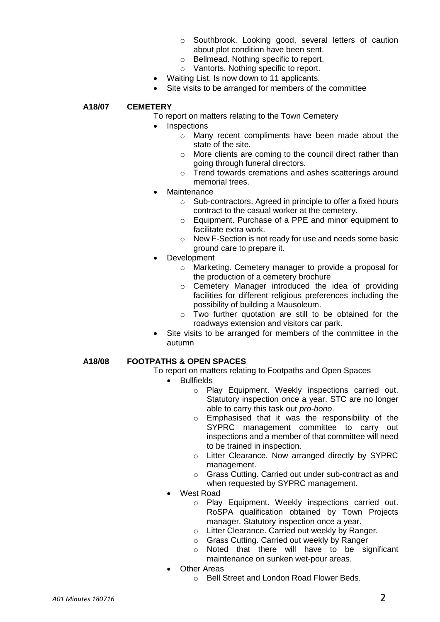- o Southbrook. Looking good, several letters of caution about plot condition have been sent.
- o Bellmead. Nothing specific to report.
- o Vantorts. Nothing specific to report.
- Waiting List. Is now down to 11 applicants.
- Site visits to be arranged for members of the committee

### **A18/07 CEMETERY**

- To report on matters relating to the Town Cemetery
- Inspections
	- o Many recent compliments have been made about the state of the site.
	- o More clients are coming to the council direct rather than going through funeral directors.
	- o Trend towards cremations and ashes scatterings around memorial trees.
- **Maintenance** 
	- o Sub-contractors. Agreed in principle to offer a fixed hours contract to the casual worker at the cemetery.
	- o Equipment. Purchase of a PPE and minor equipment to facilitate extra work.
	- o New F-Section is not ready for use and needs some basic ground care to prepare it.
- Development
	- o Marketing. Cemetery manager to provide a proposal for the production of a cemetery brochure
	- o Cemetery Manager introduced the idea of providing facilities for different religious preferences including the possibility of building a Mausoleum.
	- o Two further quotation are still to be obtained for the roadways extension and visitors car park.
- Site visits to be arranged for members of the committee in the autumn

#### **A18/08 FOOTPATHS & OPEN SPACES**

- To report on matters relating to Footpaths and Open Spaces
	- Bullfields
		- o Play Equipment. Weekly inspections carried out. Statutory inspection once a year. STC are no longer able to carry this task out *pro-bono*.
		- o Emphasised that it was the responsibility of the SYPRC management committee to carry out inspections and a member of that committee will need to be trained in inspection.
		- o Litter Clearance. Now arranged directly by SYPRC management.
		- o Grass Cutting. Carried out under sub-contract as and when requested by SYPRC management.
	- West Road
		- o Play Equipment. Weekly inspections carried out. RoSPA qualification obtained by Town Projects manager. Statutory inspection once a year.
		- o Litter Clearance. Carried out weekly by Ranger.
		- o Grass Cutting. Carried out weekly by Ranger
		- o Noted that there will have to be significant maintenance on sunken wet-pour areas.
		- Other Areas
			- o Bell Street and London Road Flower Beds.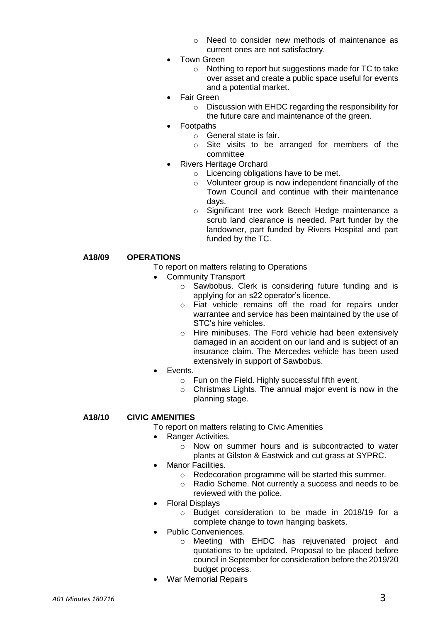- o Need to consider new methods of maintenance as current ones are not satisfactory.
- Town Green
	- o Nothing to report but suggestions made for TC to take over asset and create a public space useful for events and a potential market.
- Fair Green
	- o Discussion with EHDC regarding the responsibility for the future care and maintenance of the green.
	- Footpaths
		- $\circ$  General state is fair.
		- o Site visits to be arranged for members of the committee
- Rivers Heritage Orchard
	- o Licencing obligations have to be met.
	- o Volunteer group is now independent financially of the Town Council and continue with their maintenance days.
	- o Significant tree work Beech Hedge maintenance a scrub land clearance is needed. Part funder by the landowner, part funded by Rivers Hospital and part funded by the TC.

#### **A18/09 OPERATIONS**

- To report on matters relating to Operations
- Community Transport
	- o Sawbobus. Clerk is considering future funding and is applying for an s22 operator's licence.
	- o Fiat vehicle remains off the road for repairs under warrantee and service has been maintained by the use of STC's hire vehicles.
	- o Hire minibuses. The Ford vehicle had been extensively damaged in an accident on our land and is subject of an insurance claim. The Mercedes vehicle has been used extensively in support of Sawbobus.
- Events.
	- o Fun on the Field. Highly successful fifth event.
	- o Christmas Lights. The annual major event is now in the planning stage.

### **A18/10 CIVIC AMENITIES**

To report on matters relating to Civic Amenities

- Ranger Activities.
	- o Now on summer hours and is subcontracted to water plants at Gilston & Eastwick and cut grass at SYPRC.
- Manor Facilities.
	- o Redecoration programme will be started this summer.
	- o Radio Scheme. Not currently a success and needs to be reviewed with the police.
- Floral Displays
	- o Budget consideration to be made in 2018/19 for a complete change to town hanging baskets.
- Public Conveniences.
	- o Meeting with EHDC has rejuvenated project and quotations to be updated. Proposal to be placed before council in September for consideration before the 2019/20 budget process.
- War Memorial Repairs